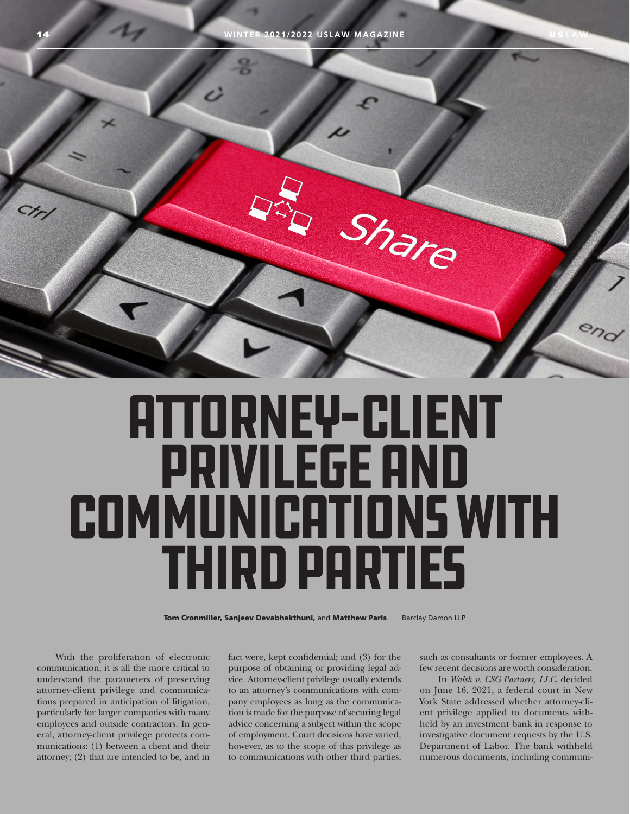

## Attorney-Client Privilege and COMMUNICATIONS WITH Third Parties

Tom Cronmiller, Sanjeev Devabhakthuni, and Matthew Paris Barclay Damon LLP

With the proliferation of electronic communication, it is all the more critical to understand the parameters of preserving attorney-client privilege and communications prepared in anticipation of litigation, particularly for larger companies with many employees and outside contractors. In general, attorney-client privilege protects communications: (1) between a client and their attorney; (2) that are intended to be, and in

fact were, kept confidential; and (3) for the purpose of obtaining or providing legal advice. Attorney-client privilege usually extends to an attorney's communications with company employees as long as the communication is made for the purpose of securing legal advice concerning a subject within the scope of employment. Court decisions have varied, however, as to the scope of this privilege as to communications with other third parties, such as consultants or former employees. A few recent decisions are worth consideration.

In *Walsh v. CSG Partners, LLC*, decided on June 16, 2021, a federal court in New York State addressed whether attorney-client privilege applied to documents withheld by an investment bank in response to investigative document requests by the U.S. Department of Labor. The bank withheld numerous documents, including communi-